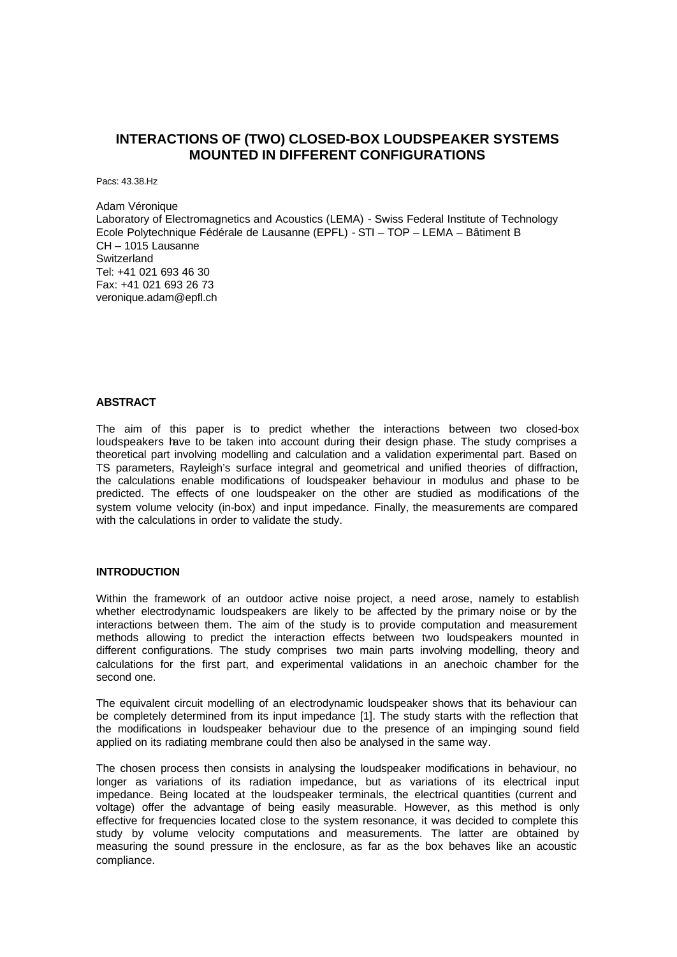# **INTERACTIONS OF (TWO) CLOSED-BOX LOUDSPEAKER SYSTEMS MOUNTED IN DIFFERENT CONFIGURATIONS**

Pacs: 43.38.Hz

Adam Véronique Laboratory of Electromagnetics and Acoustics (LEMA) - Swiss Federal Institute of Technology Ecole Polytechnique Fédérale de Lausanne (EPFL) - STI – TOP – LEMA – Bâtiment B CH – 1015 Lausanne **Switzerland** Tel: +41 021 693 46 30 Fax: +41 021 693 26 73 veronique.adam@epfl.ch

# **ABSTRACT**

The aim of this paper is to predict whether the interactions between two closed-box loudspeakers have to be taken into account during their design phase. The study comprises a theoretical part involving modelling and calculation and a validation experimental part. Based on TS parameters, Rayleigh's surface integral and geometrical and unified theories of diffraction, the calculations enable modifications of loudspeaker behaviour in modulus and phase to be predicted. The effects of one loudspeaker on the other are studied as modifications of the system volume velocity (in-box) and input impedance. Finally, the measurements are compared with the calculations in order to validate the study.

#### **INTRODUCTION**

Within the framework of an outdoor active noise project, a need arose, namely to establish whether electrodynamic loudspeakers are likely to be affected by the primary noise or by the interactions between them. The aim of the study is to provide computation and measurement methods allowing to predict the interaction effects between two loudspeakers mounted in different configurations. The study comprises two main parts involving modelling, theory and calculations for the first part, and experimental validations in an anechoic chamber for the second one.

The equivalent circuit modelling of an electrodynamic loudspeaker shows that its behaviour can be completely determined from its input impedance [1]. The study starts with the reflection that the modifications in loudspeaker behaviour due to the presence of an impinging sound field applied on its radiating membrane could then also be analysed in the same way.

The chosen process then consists in analysing the loudspeaker modifications in behaviour, no longer as variations of its radiation impedance, but as variations of its electrical input impedance. Being located at the loudspeaker terminals, the electrical quantities (current and voltage) offer the advantage of being easily measurable. However, as this method is only effective for frequencies located close to the system resonance, it was decided to complete this study by volume velocity computations and measurements. The latter are obtained by measuring the sound pressure in the enclosure, as far as the box behaves like an acoustic compliance.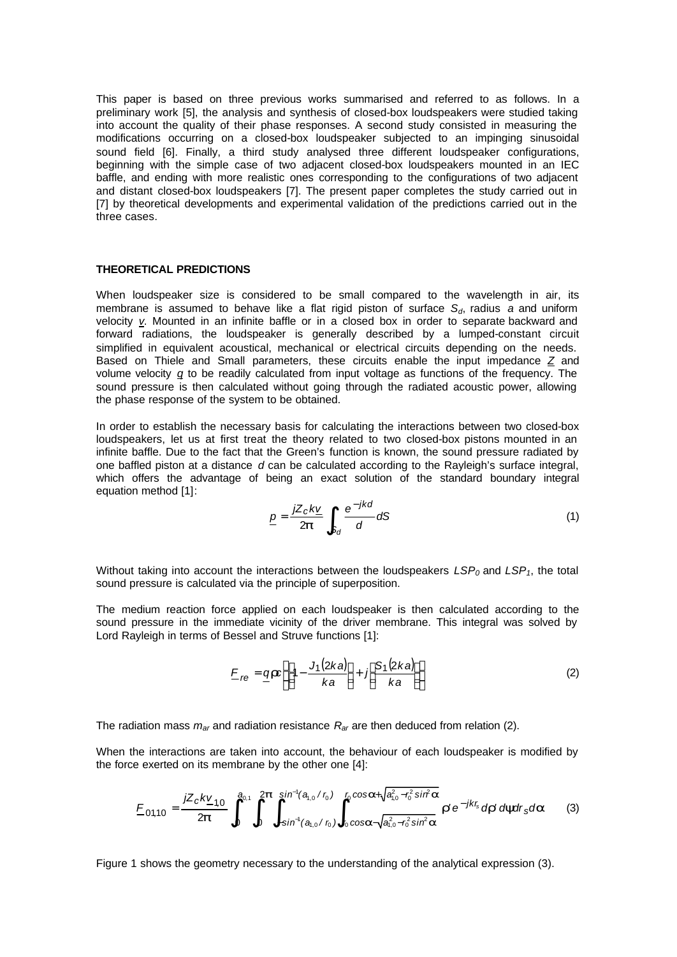This paper is based on three previous works summarised and referred to as follows. In a preliminary work [5], the analysis and synthesis of closed-box loudspeakers were studied taking into account the quality of their phase responses. A second study consisted in measuring the modifications occurring on a closed-box loudspeaker subjected to an impinging sinusoidal sound field [6]. Finally, a third study analysed three different loudspeaker configurations, beginning with the simple case of two adjacent closed-box loudspeakers mounted in an IEC baffle, and ending with more realistic ones corresponding to the configurations of two adjacent and distant closed-box loudspeakers [7]. The present paper completes the study carried out in [7] by theoretical developments and experimental validation of the predictions carried out in the three cases.

## **THEORETICAL PREDICTIONS**

When loudspeaker size is considered to be small compared to the wavelength in air, its membrane is assumed to behave like a flat rigid piston of surface *Sd*, radius *a* and uniform velocity *v*. Mounted in an infinite baffle or in a closed box in order to separate backward and forward radiations, the loudspeaker is generally described by a lumped-constant circuit simplified in equivalent acoustical, mechanical or electrical circuits depending on the needs. Based on Thiele and Small parameters, these circuits enable the input impedance *Z* and volume velocity *q* to be readily calculated from input voltage as functions of the frequency. The sound pressure is then calculated without going through the radiated acoustic power, allowing the phase response of the system to be obtained.

In order to establish the necessary basis for calculating the interactions between two closed-box loudspeakers, let us at first treat the theory related to two closed-box pistons mounted in an infinite baffle. Due to the fact that the Green's function is known, the sound pressure radiated by one baffled piston at a distance *d* can be calculated according to the Rayleigh's surface integral, which offers the advantage of being an exact solution of the standard boundary integral equation method [1]:

$$
\underline{p} = \frac{jZ_c k\underline{v}}{2\boldsymbol{p}} \int_{S_d} \frac{e^{-jkd}}{d} dS \tag{1}
$$

Without taking into account the interactions between the loudspeakers  $LSP_0$  and  $LSP_1$ , the total sound pressure is calculated via the principle of superposition.

The medium reaction force applied on each loudspeaker is then calculated according to the sound pressure in the immediate vicinity of the driver membrane. This integral was solved by Lord Rayleigh in terms of Bessel and Struve functions [1]:

$$
E_{re} = \underbrace{q \mathbf{r} c} \left\{ \left[ 1 - \frac{J_1(2ka)}{ka} \right] + j \left[ \frac{S_1(2ka)}{ka} \right] \right\} \tag{2}
$$

The radiation mass *mar* and radiation resistance *Rar* are then deduced from relation (2).

When the interactions are taken into account, the behaviour of each loudspeaker is modified by the force exerted on its membrane by the other one [4]:

$$
E_{01,10} = \frac{jZ_c k\underline{v}_{1,0}}{2\boldsymbol{p}} \int_0^{a_{0,1}} \int_0^{2\boldsymbol{p}} \int_{-\sin^1(a_{1,0}/r_0)}^{\sin^1(a_{1,0}/r_0)} \int_{r_0}^{r_0 \cos a + \sqrt{a_{1,0}^2 - r_0^2 \sin^2 a}} \boldsymbol{r}' e^{-jkr_s} d\boldsymbol{r}' d\boldsymbol{y} d\boldsymbol{r}_s d\boldsymbol{a}
$$
(3)

Figure 1 shows the geometry necessary to the understanding of the analytical expression (3).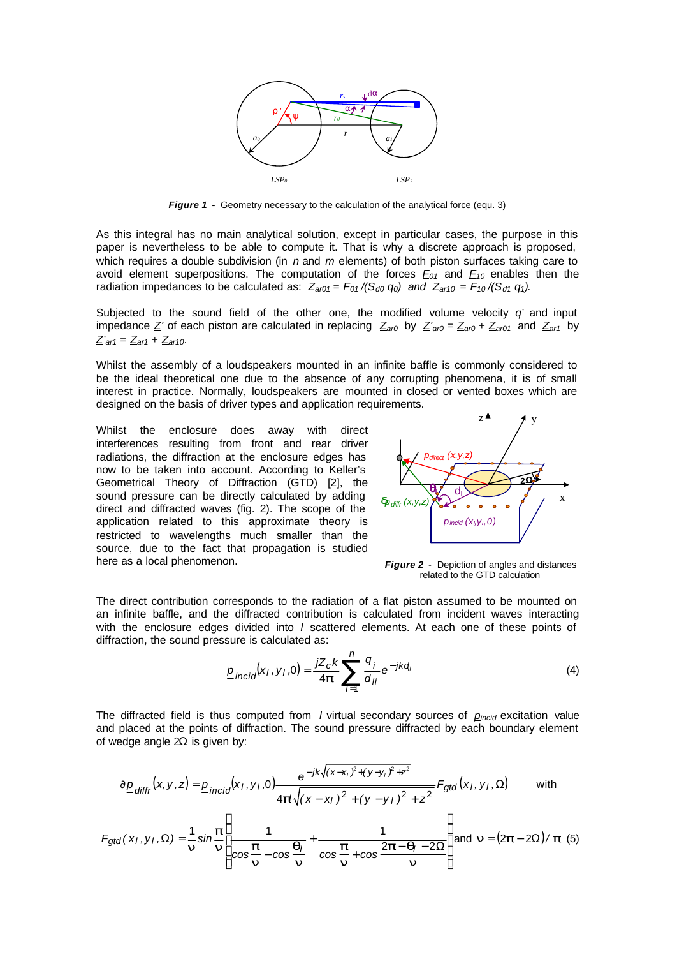

*Figure 1* **-** Geometry necessary to the calculation of the analytical force (equ. 3)

As this integral has no main analytical solution, except in particular cases, the purpose in this paper is nevertheless to be able to compute it. That is why a discrete approach is proposed, which requires a double subdivision (in *n* and *m* elements) of both piston surfaces taking care to avoid element superpositions. The computation of the forces *F01* and *F10* enables then the radiation impedances to be calculated as:  $Z_{a\tau 01} = E_{01} / (S_{d0} Q_0)$  and  $Z_{a\tau 10} = E_{10} / (S_{d1} Q_1)$ .

Subjected to the sound field of the other one, the modified volume velocity  $q'$  and input impedance  $Z'$  of each piston are calculated in replacing  $Z_{ar0}$  by  $Z'_{ar0} = Z_{ar0} + Z_{ar01}$  and  $Z_{ar1}$  by *Z'ar1* = *Zar1* + *Zar10*.

Whilst the assembly of a loudspeakers mounted in an infinite baffle is commonly considered to be the ideal theoretical one due to the absence of any corrupting phenomena, it is of small interest in practice. Normally, loudspeakers are mounted in closed or vented boxes which are designed on the basis of driver types and application requirements.

Whilst the enclosure does away with direct interferences resulting from front and rear driver radiations, the diffraction at the enclosure edges has now to be taken into account. According to Keller's Geometrical Theory of Diffraction (GTD) [2], the sound pressure can be directly calculated by adding direct and diffracted waves (fig. 2). The scope of the application related to this approximate theory is restricted to wavelengths much smaller than the source, due to the fact that propagation is studied here as a local phenomenon.



*Figure 2* - Depiction of angles and distances related to the GTD calculation

The direct contribution corresponds to the radiation of a flat piston assumed to be mounted on an infinite baffle, and the diffracted contribution is calculated from incident waves interacting with the enclosure edges divided into *l* scattered elements. At each one of these points of diffraction, the sound pressure is calculated as:

$$
\underline{p}_{incid}(x_I, y_I, 0) = \frac{jZ_c k}{4\mathbf{p}} \sum_{i=1}^n \frac{q_i}{d_{ij}} e^{-jkd_i}
$$
(4)

The diffracted field is thus computed from *l* virtual secondary sources of *pincid* excitation value and placed at the points of diffraction. The sound pressure diffracted by each boundary element of wedge angle  $2\Omega$  is given by:

$$
\partial \underline{p}_{diffr}(x, y, z) = \underline{p}_{incid}(x_1, y_1, 0) \frac{e^{-jk\sqrt{(x - x_1)^2 + (y - y_1)^2 + z^2}}}{4\mathbf{p}\sqrt{(x - x_1)^2 + (y - y_1)^2 + z^2}} F_{gtd}(x_1, y_1, \Omega) \quad \text{with}
$$
  

$$
F_{gtd}(x_1, y_1, \Omega) = \frac{1}{n} \sin \frac{\mathbf{p}}{n} \left[ \frac{1}{\cos \frac{\mathbf{p}}{n} - \cos \frac{\mathbf{q}}{n}} + \frac{1}{\cos \frac{\mathbf{p}}{n} + \cos \frac{2\mathbf{p} - \mathbf{q}}{n} - 2\Omega} \right] \text{and } \mathbf{n} = (2\mathbf{p} - 2\Omega) / \mathbf{p}
$$
(5)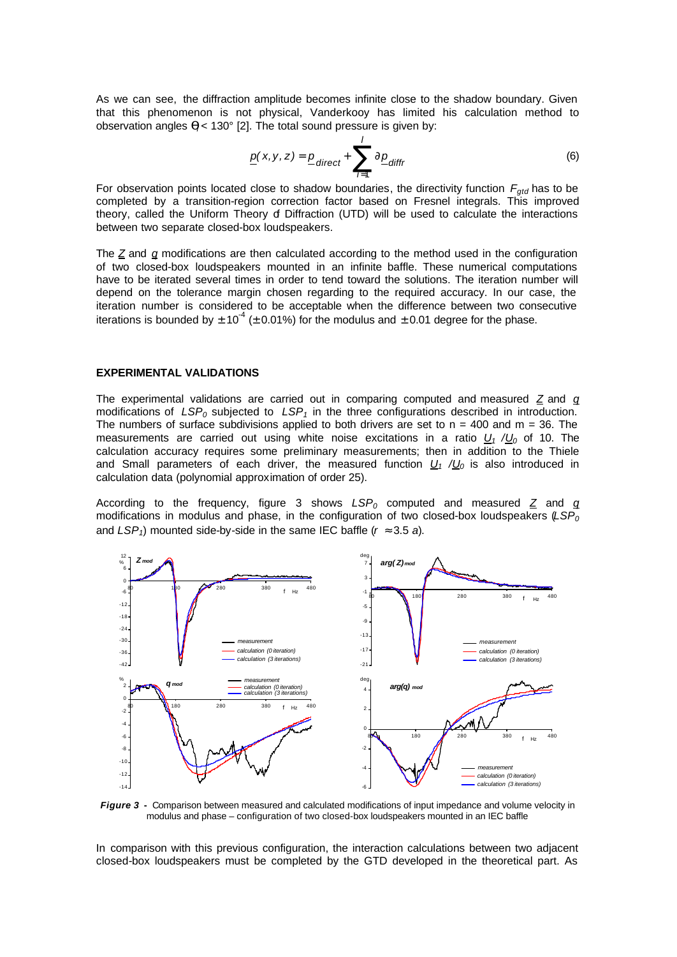As we can see, the diffraction amplitude becomes infinite close to the shadow boundary. Given that this phenomenon is not physical, Vanderkooy has limited his calculation method to observation angles *q<sup>l</sup>* < 130° [2]. The total sound pressure is given by:

$$
\underline{p}(x, y, z) = \underline{p}_{\text{direct}} + \sum_{i=1}^{I} \partial \underline{p}_{\text{diffr}} \tag{6}
$$

For observation points located close to shadow boundaries, the directivity function *Fgtd* has to be completed by a transition-region correction factor based on Fresnel integrals. This improved theory, called the Uniform Theory of Diffraction (UTD) will be used to calculate the interactions between two separate closed-box loudspeakers.

The  $Z$  and  $q$  modifications are then calculated according to the method used in the configuration of two closed-box loudspeakers mounted in an infinite baffle. These numerical computations have to be iterated several times in order to tend toward the solutions. The iteration number will depend on the tolerance margin chosen regarding to the required accuracy. In our case, the iteration number is considered to be acceptable when the difference between two consecutive iterations is bounded by  $\pm 10^4$  ( $\pm$  0.01%) for the modulus and  $\pm$  0.01 degree for the phase.

#### **EXPERIMENTAL VALIDATIONS**

The experimental validations are carried out in comparing computed and measured *Z* and *q* modifications of  $LSP_0$  subjected to  $LSP_1$  in the three configurations described in introduction. The numbers of surface subdivisions applied to both drivers are set to  $n = 400$  and  $m = 36$ . The measurements are carried out using white noise excitations in a ratio  $U_1 / U_0$  of 10. The calculation accuracy requires some preliminary measurements; then in addition to the Thiele and Small parameters of each driver, the measured function  $U_1$  / $U_0$  is also introduced in calculation data (polynomial approximation of order 25).

According to the frequency, figure 3 shows  $LSP_0$  computed and measured  $Z$  and  $q$ modifications in modulus and phase, in the configuration of two closed-box loudspeakers (*LSP<sup>0</sup>* and  $LSP_1$ ) mounted side-by-side in the same IEC baffle ( $r \approx 3.5$  *a*).



*Figure 3* **-** Comparison between measured and calculated modifications of input impedance and volume velocity in modulus and phase – configuration of two closed-box loudspeakers mounted in an IEC baffle

In comparison with this previous configuration, the interaction calculations between two adjacent closed-box loudspeakers must be completed by the GTD developed in the theoretical part. As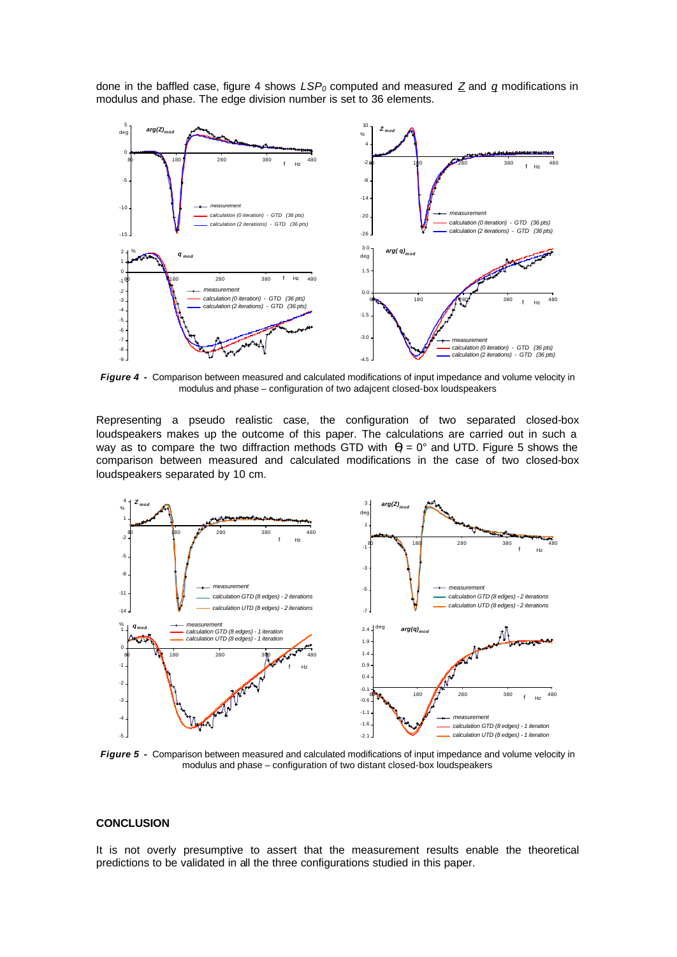done in the baffled case, figure 4 shows *LSP0* computed and measured *Z* and *q* modifications in modulus and phase. The edge division number is set to 36 elements.



*Figure 4* **-** Comparison between measured and calculated modifications of input impedance and volume velocity in modulus and phase – configuration of two adajcent closed-box loudspeakers

Representing a pseudo realistic case, the configuration of two separated closed-box loudspeakers makes up the outcome of this paper. The calculations are carried out in such a way as to compare the two diffraction methods GTD with  $q = 0^{\circ}$  and UTD. Figure 5 shows the comparison between measured and calculated modifications in the case of two closed-box loudspeakers separated by 10 cm.



*Figure 5* **-** Comparison between measured and calculated modifications of input impedance and volume velocity in modulus and phase – configuration of two distant closed-box loudspeakers

## **CONCLUSION**

It is not overly presumptive to assert that the measurement results enable the theoretical predictions to be validated in all the three configurations studied in this paper.